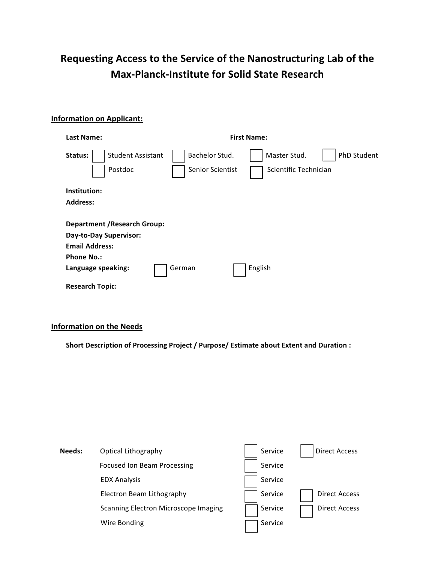## **Requesting Access to the Service of the Nanostructuring Lab of the Max-Planck-Institute for Solid State Research**

## **Information on Applicant:**

| <b>Last Name:</b>                                                                                                                 |                                    | <b>First Name:</b>                                   |
|-----------------------------------------------------------------------------------------------------------------------------------|------------------------------------|------------------------------------------------------|
| <b>Student Assistant</b><br>Status:<br>Postdoc                                                                                    | Bachelor Stud.<br>Senior Scientist | Master Stud.<br>PhD Student<br>Scientific Technician |
| Institution:                                                                                                                      |                                    |                                                      |
| <b>Address:</b>                                                                                                                   |                                    |                                                      |
| <b>Department / Research Group:</b><br>Day-to-Day Supervisor:<br><b>Email Address:</b><br><b>Phone No.:</b><br>Language speaking: | German                             | English                                              |
| <b>Research Topic:</b>                                                                                                            |                                    |                                                      |

## **Information on the Needs**

Short Description of Processing Project / Purpose/ Estimate about Extent and Duration :

| Needs: | Optical Lithography                  | Service | <b>Direct Access</b> |
|--------|--------------------------------------|---------|----------------------|
|        | <b>Focused Ion Beam Processing</b>   | Service |                      |
|        | <b>EDX Analysis</b>                  | Service |                      |
|        | Electron Beam Lithography            | Service | <b>Direct Access</b> |
|        | Scanning Electron Microscope Imaging | Service | <b>Direct Access</b> |
|        | Wire Bonding                         | Service |                      |